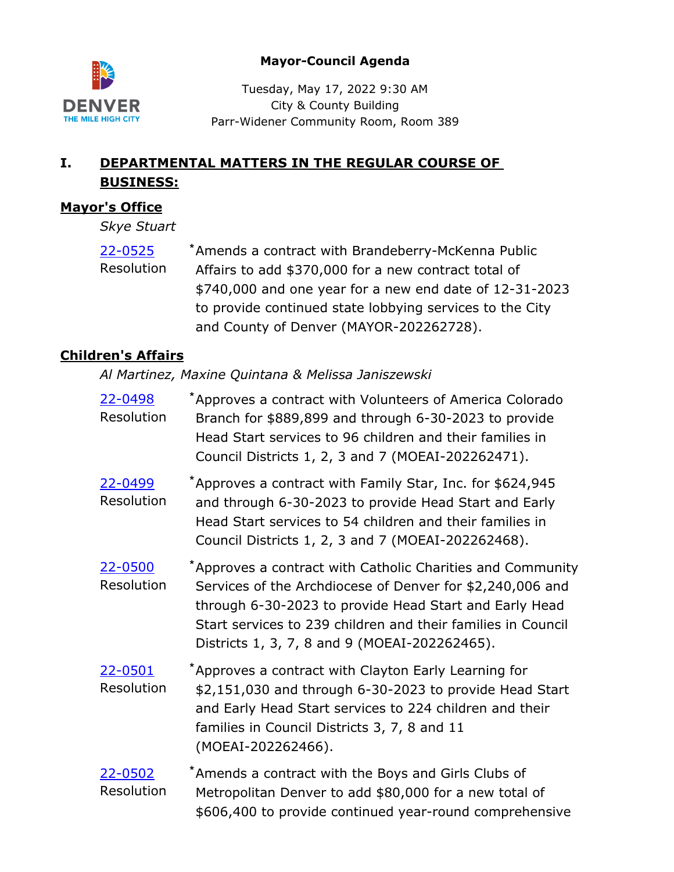

### **Mayor-Council Agenda**

Tuesday, May 17, 2022 9:30 AM City & County Building Parr-Widener Community Room, Room 389

# **I. DEPARTMENTAL MATTERS IN THE REGULAR COURSE OF BUSINESS:**

# **Mayor's Office**

*Skye Stuart*

Amends a contract with Brandeberry-McKenna Public Affairs to add \$370,000 for a new contract total of \$740,000 and one year for a new end date of 12-31-2023 to provide continued state lobbying services to the City and County of Denver (MAYOR-202262728). [22-0525](http://denver.legistar.com/gateway.aspx?m=l&id=/matter.aspx?key=21592) **\*** Resolution

# **Children's Affairs**

*Al Martinez, Maxine Quintana & Melissa Janiszewski*

Approves a contract with Volunteers of America Colorado Branch for \$889,899 and through 6-30-2023 to provide Head Start services to 96 children and their families in Council Districts 1, 2, 3 and 7 (MOEAI-202262471). [22-0498](http://denver.legistar.com/gateway.aspx?m=l&id=/matter.aspx?key=21565) **\*** Resolution Approves a contract with Family Star, Inc. for \$624,945 and through 6-30-2023 to provide Head Start and Early Head Start services to 54 children and their families in Council Districts 1, 2, 3 and 7 (MOEAI-202262468). [22-0499](http://denver.legistar.com/gateway.aspx?m=l&id=/matter.aspx?key=21566) **\*** Resolution Approves a contract with Catholic Charities and Community Services of the Archdiocese of Denver for \$2,240,006 and through 6-30-2023 to provide Head Start and Early Head Start services to 239 children and their families in Council Districts 1, 3, 7, 8 and 9 (MOEAI-202262465). [22-0500](http://denver.legistar.com/gateway.aspx?m=l&id=/matter.aspx?key=21567) **\*** Resolution Approves a contract with Clayton Early Learning for \$2,151,030 and through 6-30-2023 to provide Head Start and Early Head Start services to 224 children and their families in Council Districts 3, 7, 8 and 11 (MOEAI-202262466). [22-0501](http://denver.legistar.com/gateway.aspx?m=l&id=/matter.aspx?key=21568) **\*** Resolution Amends a contract with the Boys and Girls Clubs of Metropolitan Denver to add \$80,000 for a new total of \$606,400 to provide continued year-round comprehensive [22-0502](http://denver.legistar.com/gateway.aspx?m=l&id=/matter.aspx?key=21569) **\*** Resolution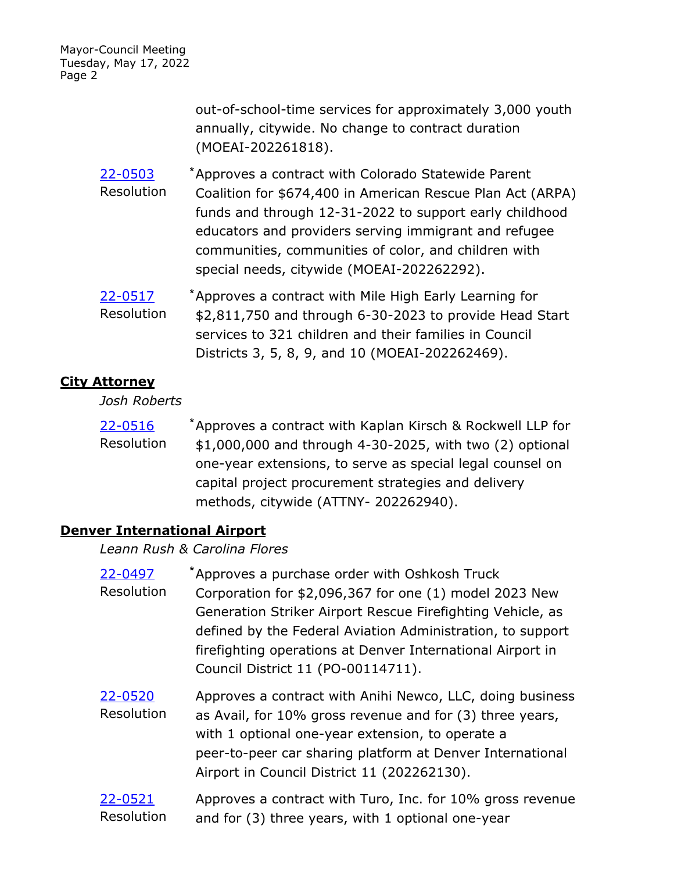> out-of-school-time services for approximately 3,000 youth annually, citywide. No change to contract duration (MOEAI-202261818).

- Approves a contract with Colorado Statewide Parent Coalition for \$674,400 in American Rescue Plan Act (ARPA) funds and through 12-31-2022 to support early childhood educators and providers serving immigrant and refugee communities, communities of color, and children with special needs, citywide (MOEAI-202262292). [22-0503](http://denver.legistar.com/gateway.aspx?m=l&id=/matter.aspx?key=21570) **\*** Resolution
- Approves a contract with Mile High Early Learning for \$2,811,750 and through 6-30-2023 to provide Head Start services to 321 children and their families in Council Districts 3, 5, 8, 9, and 10 (MOEAI-202262469). [22-0517](http://denver.legistar.com/gateway.aspx?m=l&id=/matter.aspx?key=21584) **\*** Resolution

### **City Attorney**

*Josh Roberts*

Approves a contract with Kaplan Kirsch & Rockwell LLP for \$1,000,000 and through 4-30-2025, with two (2) optional one-year extensions, to serve as special legal counsel on capital project procurement strategies and delivery methods, citywide (ATTNY- 202262940). [22-0516](http://denver.legistar.com/gateway.aspx?m=l&id=/matter.aspx?key=21583) **\*** Resolution

# **Denver International Airport**

*Leann Rush & Carolina Flores*

| 22-0497<br>Resolution | *Approves a purchase order with Oshkosh Truck<br>Corporation for \$2,096,367 for one (1) model 2023 New<br>Generation Striker Airport Rescue Firefighting Vehicle, as<br>defined by the Federal Aviation Administration, to support<br>firefighting operations at Denver International Airport in<br>Council District 11 (PO-00114711). |
|-----------------------|-----------------------------------------------------------------------------------------------------------------------------------------------------------------------------------------------------------------------------------------------------------------------------------------------------------------------------------------|
| 22-0520<br>Resolution | Approves a contract with Anihi Newco, LLC, doing business<br>as Avail, for 10% gross revenue and for (3) three years,<br>with 1 optional one-year extension, to operate a<br>peer-to-peer car sharing platform at Denver International<br>Airport in Council District 11 (202262130).                                                   |
| 22-0521<br>Resolution | Approves a contract with Turo, Inc. for 10% gross revenue<br>and for (3) three years, with 1 optional one-year                                                                                                                                                                                                                          |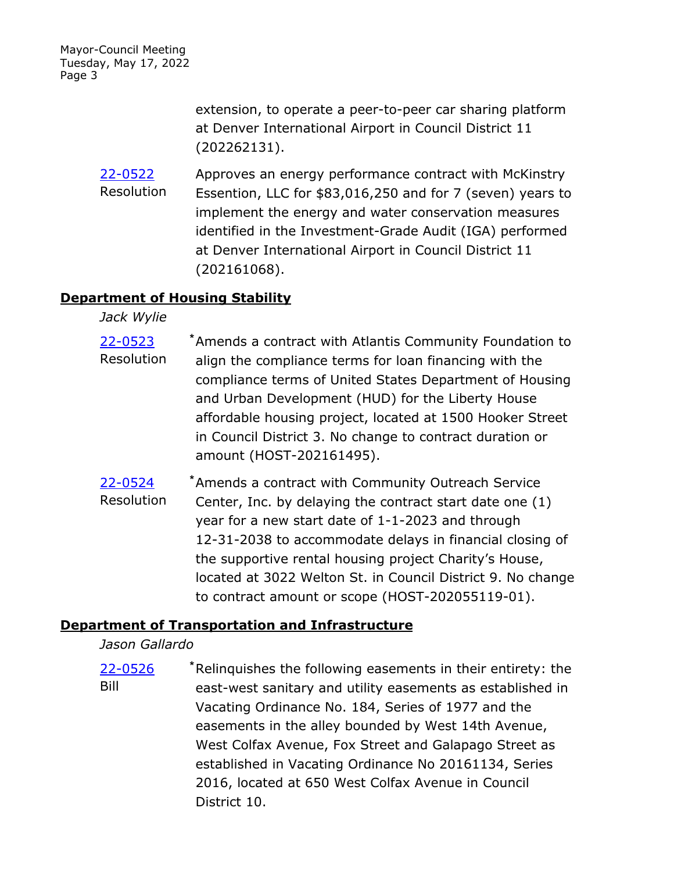> extension, to operate a peer-to-peer car sharing platform at Denver International Airport in Council District 11 (202262131).

Approves an energy performance contract with McKinstry Essention, LLC for \$83,016,250 and for 7 (seven) years to implement the energy and water conservation measures identified in the Investment-Grade Audit (IGA) performed at Denver International Airport in Council District 11 (202161068). [22-0522](http://denver.legistar.com/gateway.aspx?m=l&id=/matter.aspx?key=21589) Resolution

### **Department of Housing Stability**

*Jack Wylie*

- Amends a contract with Atlantis Community Foundation to align the compliance terms for loan financing with the compliance terms of United States Department of Housing and Urban Development (HUD) for the Liberty House affordable housing project, located at 1500 Hooker Street in Council District 3. No change to contract duration or amount (HOST-202161495). [22-0523](http://denver.legistar.com/gateway.aspx?m=l&id=/matter.aspx?key=21590) **\*** Resolution
- Amends a contract with Community Outreach Service Center, Inc. by delaying the contract start date one (1) year for a new start date of 1-1-2023 and through 12-31-2038 to accommodate delays in financial closing of the supportive rental housing project Charity's House, located at 3022 Welton St. in Council District 9. No change to contract amount or scope (HOST-202055119-01). [22-0524](http://denver.legistar.com/gateway.aspx?m=l&id=/matter.aspx?key=21591) **\*** Resolution

### **Department of Transportation and Infrastructure**

*Jason Gallardo*

Relinquishes the following easements in their entirety: the east-west sanitary and utility easements as established in Vacating Ordinance No. 184, Series of 1977 and the easements in the alley bounded by West 14th Avenue, West Colfax Avenue, Fox Street and Galapago Street as established in Vacating Ordinance No 20161134, Series 2016, located at 650 West Colfax Avenue in Council District 10. [22-0526](http://denver.legistar.com/gateway.aspx?m=l&id=/matter.aspx?key=21593) **\*** Bill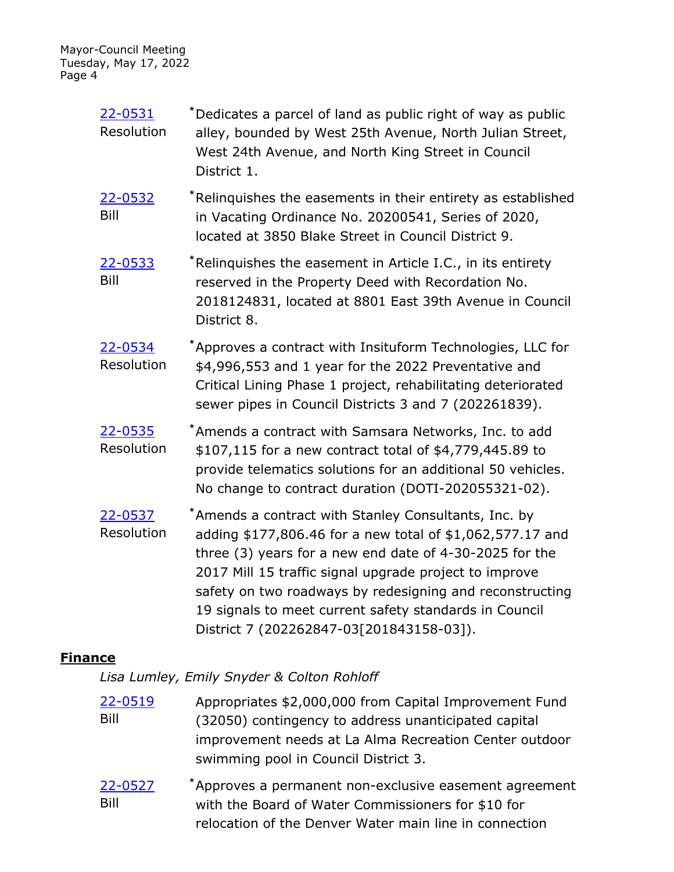| 22-0531    | *Dedicates a parcel of land as public right of way as public |
|------------|--------------------------------------------------------------|
| Resolution | alley, bounded by West 25th Avenue, North Julian Street,     |
|            | West 24th Avenue, and North King Street in Council           |
|            | District 1.                                                  |

Relinquishes the easements in their entirety as established in Vacating Ordinance No. 20200541, Series of 2020, located at 3850 Blake Street in Council District 9. [22-0532](http://denver.legistar.com/gateway.aspx?m=l&id=/matter.aspx?key=21599) **\*** Bill

- Relinquishes the easement in Article I.C., in its entirety reserved in the Property Deed with Recordation No. 2018124831, located at 8801 East 39th Avenue in Council District 8. [22-0533](http://denver.legistar.com/gateway.aspx?m=l&id=/matter.aspx?key=21600) **\*** Bill
- Approves a contract with Insituform Technologies, LLC for \$4,996,553 and 1 year for the 2022 Preventative and Critical Lining Phase 1 project, rehabilitating deteriorated sewer pipes in Council Districts 3 and 7 (202261839). [22-0534](http://denver.legistar.com/gateway.aspx?m=l&id=/matter.aspx?key=21601) **\*** Resolution
- Amends a contract with Samsara Networks, Inc. to add \$107,115 for a new contract total of \$4,779,445.89 to provide telematics solutions for an additional 50 vehicles. No change to contract duration (DOTI-202055321-02). [22-0535](http://denver.legistar.com/gateway.aspx?m=l&id=/matter.aspx?key=21602) **\*** Resolution
- Amends a contract with Stanley Consultants, Inc. by adding \$177,806.46 for a new total of \$1,062,577.17 and three (3) years for a new end date of 4-30-2025 for the 2017 Mill 15 traffic signal upgrade project to improve safety on two roadways by redesigning and reconstructing 19 signals to meet current safety standards in Council District 7 (202262847-03[201843158-03]). [22-0537](http://denver.legistar.com/gateway.aspx?m=l&id=/matter.aspx?key=21604) **\*** Resolution

### **Finance**

*Lisa Lumley, Emily Snyder & Colton Rohloff*

- Appropriates \$2,000,000 from Capital Improvement Fund (32050) contingency to address unanticipated capital improvement needs at La Alma Recreation Center outdoor swimming pool in Council District 3. [22-0519](http://denver.legistar.com/gateway.aspx?m=l&id=/matter.aspx?key=21586) Bill
- Approves a permanent non-exclusive easement agreement with the Board of Water Commissioners for \$10 for relocation of the Denver Water main line in connection [22-0527](http://denver.legistar.com/gateway.aspx?m=l&id=/matter.aspx?key=21594) **\*** Bill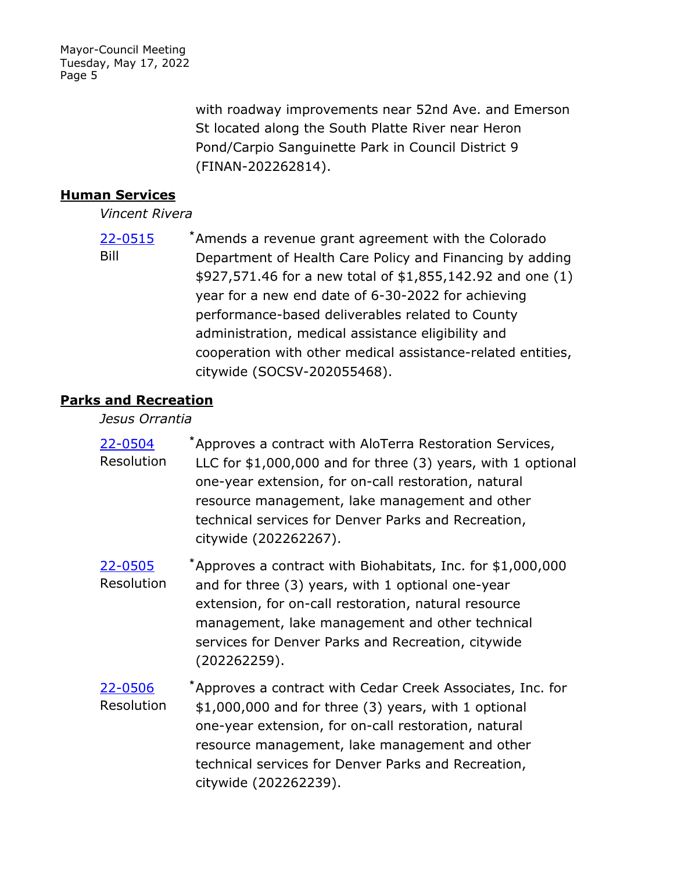> with roadway improvements near 52nd Ave. and Emerson St located along the South Platte River near Heron Pond/Carpio Sanguinette Park in Council District 9 (FINAN-202262814).

### **Human Services**

*Vincent Rivera*

Amends a revenue grant agreement with the Colorado Department of Health Care Policy and Financing by adding \$927,571.46 for a new total of \$1,855,142.92 and one (1) year for a new end date of 6-30-2022 for achieving performance-based deliverables related to County administration, medical assistance eligibility and cooperation with other medical assistance-related entities, citywide (SOCSV-202055468). [22-0515](http://denver.legistar.com/gateway.aspx?m=l&id=/matter.aspx?key=21582) **\*** Bill

### **Parks and Recreation**

#### *Jesus Orrantia*

- Approves a contract with AloTerra Restoration Services, LLC for \$1,000,000 and for three (3) years, with 1 optional one-year extension, for on-call restoration, natural resource management, lake management and other technical services for Denver Parks and Recreation, citywide (202262267). [22-0504](http://denver.legistar.com/gateway.aspx?m=l&id=/matter.aspx?key=21571) **\*** Resolution
- Approves a contract with Biohabitats, Inc. for \$1,000,000 and for three (3) years, with 1 optional one-year extension, for on-call restoration, natural resource management, lake management and other technical services for Denver Parks and Recreation, citywide (202262259). [22-0505](http://denver.legistar.com/gateway.aspx?m=l&id=/matter.aspx?key=21572) **\*** Resolution
- Approves a contract with Cedar Creek Associates, Inc. for \$1,000,000 and for three (3) years, with 1 optional one-year extension, for on-call restoration, natural resource management, lake management and other technical services for Denver Parks and Recreation, citywide (202262239). [22-0506](http://denver.legistar.com/gateway.aspx?m=l&id=/matter.aspx?key=21573) **\*** Resolution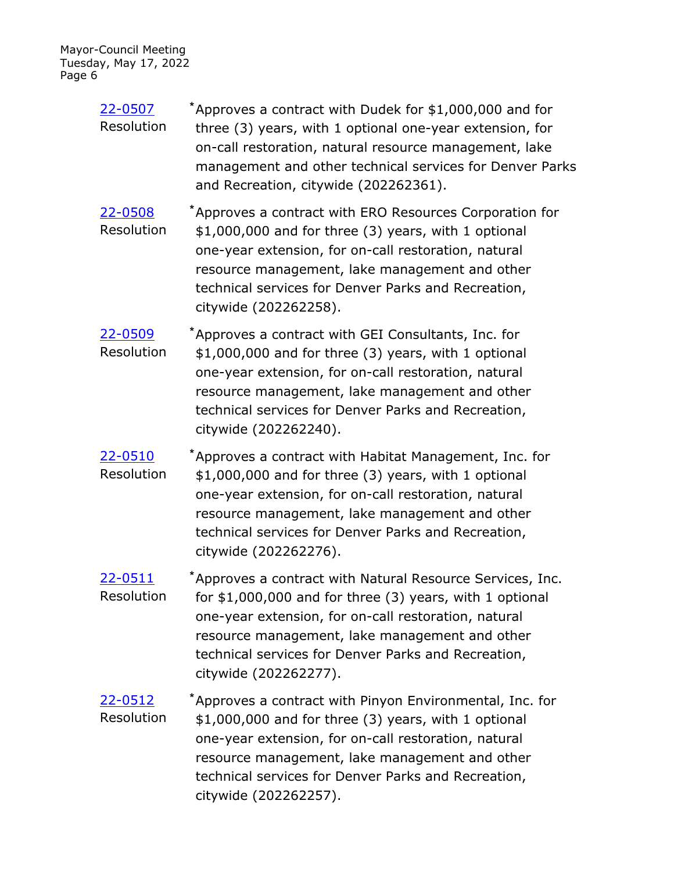- Approves a contract with Dudek for \$1,000,000 and for three (3) years, with 1 optional one-year extension, for on-call restoration, natural resource management, lake management and other technical services for Denver Parks and Recreation, citywide (202262361). [22-0507](http://denver.legistar.com/gateway.aspx?m=l&id=/matter.aspx?key=21574) **\*** Resolution
- Approves a contract with ERO Resources Corporation for \$1,000,000 and for three (3) years, with 1 optional one-year extension, for on-call restoration, natural resource management, lake management and other technical services for Denver Parks and Recreation, citywide (202262258). [22-0508](http://denver.legistar.com/gateway.aspx?m=l&id=/matter.aspx?key=21575) **\*** Resolution
- Approves a contract with GEI Consultants, Inc. for \$1,000,000 and for three (3) years, with 1 optional one-year extension, for on-call restoration, natural resource management, lake management and other technical services for Denver Parks and Recreation, citywide (202262240). [22-0509](http://denver.legistar.com/gateway.aspx?m=l&id=/matter.aspx?key=21576) **\*** Resolution
- Approves a contract with Habitat Management, Inc. for \$1,000,000 and for three (3) years, with 1 optional one-year extension, for on-call restoration, natural resource management, lake management and other technical services for Denver Parks and Recreation, citywide (202262276). [22-0510](http://denver.legistar.com/gateway.aspx?m=l&id=/matter.aspx?key=21577) **\*** Resolution
- Approves a contract with Natural Resource Services, Inc. for \$1,000,000 and for three (3) years, with 1 optional one-year extension, for on-call restoration, natural resource management, lake management and other technical services for Denver Parks and Recreation, citywide (202262277). [22-0511](http://denver.legistar.com/gateway.aspx?m=l&id=/matter.aspx?key=21578) **\*** Resolution
- Approves a contract with Pinyon Environmental, Inc. for \$1,000,000 and for three (3) years, with 1 optional one-year extension, for on-call restoration, natural resource management, lake management and other technical services for Denver Parks and Recreation, citywide (202262257). [22-0512](http://denver.legistar.com/gateway.aspx?m=l&id=/matter.aspx?key=21579) **\*** Resolution